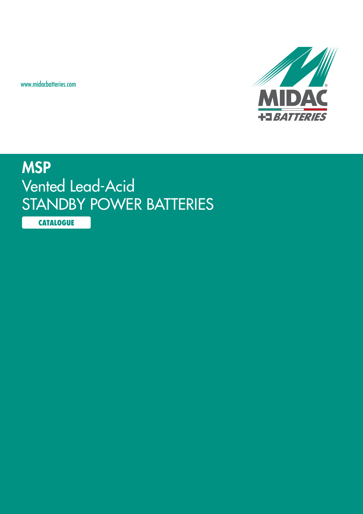www.midacbatteries.com



## **MSP** Vented Lead-Acid STANDBY POWER BATTERIES

**CATALOGUE**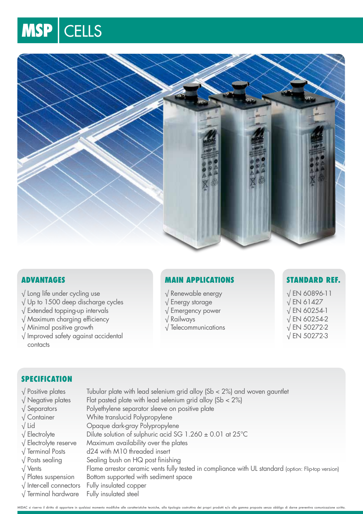# MSP CELLS



### **Advantages**

- √ Long life under cycling use
- √ Up to 1500 deep discharge cycles
- √ Extended topping-up intervals
- √ Maximum charging efficiency
- √ Minimal positive growth
- √ Improved safety against accidental contacts

### **Main Applications**

- √ Renewable energy
- √ Energy storage
- √ Emergency power
- √ Railways
- √ Telecommunications

### **Standard Ref.**

√ EN 60896-11 √ EN 61427 √ EN 60254-1 √ EN 60254-2 √ EN 50272-2 √ EN 50272-3

### **SPECIFICATION**

- 
- 
- 
- 
- 
- 
- 
- 
- 
- 
- 
- 
- √ Terminal hardware Fully insulated steel
- $\sqrt{P}$  Positive plates Tubular plate with lead selenium grid alloy (Sb < 2%) and woven gauntlet  $\sqrt{\frac{1}{100}}$  Negative plates Flat pasted plate with lead selenium grid alloy (Sb < 2%) √ Separators Polyethylene separator sleeve on positive plate √ Container White translucid Polypropylene √ Lid Opaque dark-gray Polypropylene √ Electrolyte Dilute solution of sulphuric acid SG 1.260 ± 0.01 at 25°C √ Electrolyte reserve Maximum availability over the plates √ Terminal Posts d24 with M10 threaded insert  $\sqrt{\frac{1}{10}}$  Posts sealing Sealing bush on HQ post finishing √ Vents Flame arrestor ceramic vents fully tested in compliance with UL standard (option: Flip-top version) √ Plates suspension Bottom supported with sediment space √ Inter-cell connectors Fully insulated copper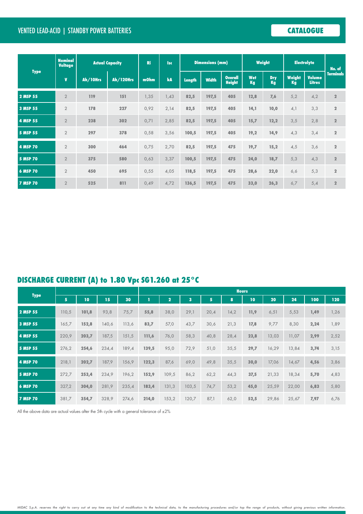### VENTED Lead-Acid | STANDBY POWER BATTERIES **CATALOGUE**

| <b>Type</b>     | <b>Nominal</b><br><b>Voltage</b> | <b>Actual Capacity</b> |                  | <b>Ri</b> | <b>Isc</b> | <b>Dimensions (mm)</b> |              |                                 | Weight           |                  | <b>Electrolyte</b> |                                | No. of           |
|-----------------|----------------------------------|------------------------|------------------|-----------|------------|------------------------|--------------|---------------------------------|------------------|------------------|--------------------|--------------------------------|------------------|
|                 | $\mathbf{V}$                     | Ah/10Hrs               | <b>Ah/120Hrs</b> | m0hm      | kA         | <b>Length</b>          | <b>Width</b> | <b>Overall</b><br><b>Height</b> | <b>Wet</b><br>Kg | <b>Dry</b><br>Kg | Weight<br>Kg       | <b>Volume</b><br><b>Litres</b> | <b>Terminals</b> |
| 2 MSP 55        | $\overline{2}$                   | 119                    | 151              | 1,35      | 1,43       | 82,5                   | 197,5        | 405                             | 12,8             | 7,6              | 5,2                | 4,2                            | $\mathbf{2}$     |
| 3 MSP 55        | $\overline{2}$                   | 178                    | 227              | 0,92      | 2,14       | 82,5                   | 197,5        | 405                             | 14,1             | 10,0             | 4,1                | 3,3                            | $\mathbf 2$      |
| 4 MSP 55        | $\overline{2}$                   | 238                    | 302              | 0,71      | 2,85       | 82,5                   | 197,5        | 405                             | 15,7             | 12,2             | 3,5                | 2,8                            | $\mathbf{2}$     |
| 5 MSP 55        | $\overline{2}$                   | 297                    | 378              | 0,58      | 3,56       | 100,5                  | 197,5        | 405                             | 19,2             | 14,9             | 4,3                | 3,4                            | $\mathbf 2$      |
| 4 MSP 70        | $\overline{2}$                   | 300                    | 464              | 0,75      | 2,70       | 82,5                   | 197,5        | 475                             | 19,7             | 15,2             | 4,5                | 3,6                            | $\mathbf 2$      |
| <b>5 MSP 70</b> | $\overline{2}$                   | 375                    | 580              | 0,63      | 3,37       | 100,5                  | 197,5        | 475                             | 24,0             | 18,7             | 5,3                | 4,3                            | $\mathbf 2$      |
| 6 MSP 70        | $\overline{2}$                   | 450                    | 695              | 0,55      | 4,05       | 118,5                  | 197,5        | 475                             | 28,6             | 22,0             | 6,6                | 5,3                            | $\mathbf 2$      |
| <b>7 MSP 70</b> | $\overline{2}$                   | 525                    | 811              | 0,49      | 4,72       | 136,5                  | 197,5        | 475                             | 33,0             | 26,3             | 6,7                | 5,4                            | $\overline{2}$   |

## **DISCHARGE CURRENT (A) to 1.80 Vpc SG1.260 at 25°C**

| <b>Type</b>     |                |       |       |       | <b>Hours</b> |                |       |      |      |      |       |       |      |      |
|-----------------|----------------|-------|-------|-------|--------------|----------------|-------|------|------|------|-------|-------|------|------|
|                 | $\overline{5}$ | 10    | 15    | 30    |              | $\overline{2}$ | 3     | 5    | 8    | 10   | 20    | 24    | 100  | 120  |
| 2 MSP 55        | 110,5          | 101,8 | 93,8  | 75,7  | 55,8         | 38,0           | 29,1  | 20,4 | 14,2 | 11,9 | 6,51  | 5,53  | 1,49 | 1,26 |
| 3 MSP 55        | 165,7          | 152,8 | 140,6 | 113,6 | 83,7         | 57,0           | 43,7  | 30,6 | 21,3 | 17,8 | 9,77  | 8,30  | 2,24 | 1,89 |
| 4 MSP 55        | 220,9          | 203,7 | 187,5 | 151,5 | 111,6        | 76,0           | 58,3  | 40,8 | 28,4 | 23,8 | 13,03 | 11,07 | 2,99 | 2,52 |
| 5 MSP 55        | 276,2          | 254,6 | 234,4 | 189,4 | 139,5        | 95,0           | 72,9  | 51,0 | 35,5 | 29,7 | 16,29 | 13,84 | 3,74 | 3,15 |
| 4 MSP 70        | 218,1          | 202,7 | 187,9 | 156,9 | 122,3        | 87,6           | 69,0  | 49,8 | 35,5 | 30,0 | 17,06 | 14,67 | 4,56 | 3,86 |
| <b>5 MSP 70</b> | 272,7          | 253,4 | 234,9 | 196,2 | 152,9        | 109,5          | 86,2  | 62,2 | 44,3 | 37,5 | 21,33 | 18,34 | 5,70 | 4,83 |
| 6 MSP 70        | 327,2          | 304,0 | 281,9 | 235,4 | 183,4        | 131,3          | 103,5 | 74,7 | 53,2 | 45,0 | 25,59 | 22,00 | 6,83 | 5,80 |
| <b>7 MSP 70</b> | 381,7          | 354,7 | 328,9 | 274,6 | 214,0        | 153,2          | 120,7 | 87,1 | 62,0 | 52,5 | 29,86 | 25,67 | 7,97 | 6,76 |

All the above data are actual values after the 5th cycle with a general tolerance of  $\pm 2\%$